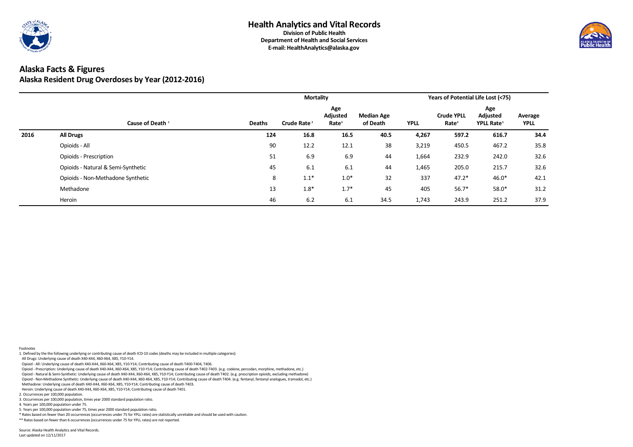

# **Alaska Facts & Figures Alaska Resident Drug Overdoses by Year (2012-2016)**

|      |                                    |               | <b>Mortality</b>        |                                      |                               |             | Years of Potential Life Lost (<75)     |                                                  |                        |
|------|------------------------------------|---------------|-------------------------|--------------------------------------|-------------------------------|-------------|----------------------------------------|--------------------------------------------------|------------------------|
|      | Cause of Death <sup>1</sup>        | <b>Deaths</b> | Crude Rate <sup>2</sup> | Age<br>Adjusted<br>Rate <sup>3</sup> | <b>Median Age</b><br>of Death | <b>YPLL</b> | <b>Crude YPLL</b><br>Rate <sup>4</sup> | Age<br><b>Adjusted</b><br>YPLL Rate <sup>5</sup> | Average<br><b>YPLL</b> |
| 2016 | <b>All Drugs</b>                   | 124           | 16.8                    | 16.5                                 | 40.5                          | 4,267       | 597.2                                  | 616.7                                            | 34.4                   |
|      | Opioids - All                      | 90            | 12.2                    | 12.1                                 | 38                            | 3,219       | 450.5                                  | 467.2                                            | 35.8                   |
|      | <b>Opioids - Prescription</b>      | 51            | 6.9                     | 6.9                                  | 44                            | 1,664       | 232.9                                  | 242.0                                            | 32.6                   |
|      | Opioids - Natural & Semi-Synthetic | 45            | 6.1                     | 6.1                                  | 44                            | 1,465       | 205.0                                  | 215.7                                            | 32.6                   |
|      | Opioids - Non-Methadone Synthetic  | 8             | $1.1*$                  | $1.0*$                               | 32                            | 337         | $47.2*$                                | 46.0*                                            | 42.1                   |
|      | Methadone                          | 13            | $1.8*$                  | $1.7*$                               | 45                            | 405         | $56.7*$                                | $58.0*$                                          | 31.2                   |
|      | Heroin                             | 46            | 6.2                     | 6.1                                  | 34.5                          | 1,743       | 243.9                                  | 251.2                                            | 37.9                   |

Footnotes

1. Defined by the the following underlying or contributing cause of death ICD-10 codes (deaths may be included in multiple categories):

All Drugs: Underlying cause of death X40-X44, X60-X64, X85, Y10-Y14.

Opioid - All: Underlying cause of death X40-X44, X60-X64, X85, Y10-Y14; Contributing cause of death T400-T404, T406.

Opioid - Prescription: Underlying cause of death X40-X44, X60-X64, X85, Y10-Y14; Contributing cause of death T402-T403. (e.g. codeine, percodan, morphine, methadone, etc.)

Opioid - Natural & Semi-Synthetic: Underlying cause of death X40-X44, X60-X64, X85, Y10-Y14; Contributing cause of death T402. (e.g. prescription opioids, excluding methadone)

Opioid - Non-Methadone Synthetic: Underlying cause of death X40-X44, X60-X64, X85, Y10-Y14; Contributing cause of death T404. (e.g. fentanyl, fentanyl analogues, tramadol, etc.)

Methadone: Underlying cause of death X40-X44, X60-X64, X85, Y10-Y14; Contributing cause of death T403.

Heroin: Underlying cause of death X40-X44, X60-X64, X85, Y10-Y14; Contributing cause of death T401.

2. Occurrences per 100,000 population.

3. Occurrences per 100,000 population, times year 2000 standard population ratio.

4. Years per 100,000 population under 75.

5. Years per 100,000 population under 75, times year 2000 standard population ratio.

\* Rates based on fewer than 20 occurrences (occurrences under 75 for YPLL rates) are statistically unreliable and should be used with caution.

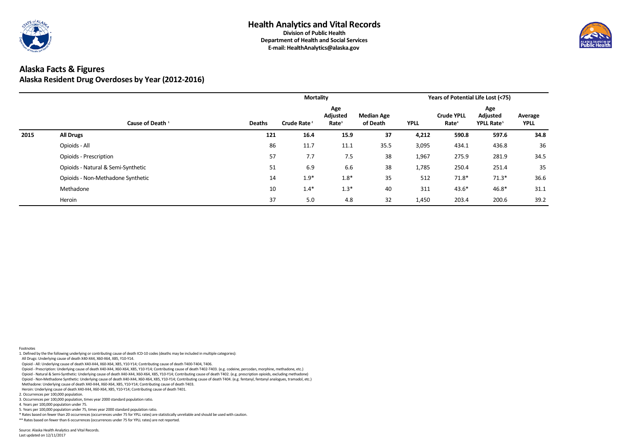

# **Alaska Facts & Figures Alaska Resident Drug Overdoses by Year (2012-2016)**

|      |                                    |               |                         |                                      | Years of Potential Life Lost (<75) |             |                                        |                                           |                        |
|------|------------------------------------|---------------|-------------------------|--------------------------------------|------------------------------------|-------------|----------------------------------------|-------------------------------------------|------------------------|
|      | Cause of Death <sup>1</sup>        | <b>Deaths</b> | Crude Rate <sup>2</sup> | Age<br>Adjusted<br>Rate <sup>3</sup> | <b>Median Age</b><br>of Death      | <b>YPLL</b> | <b>Crude YPLL</b><br>Rate <sup>4</sup> | Age<br>Adjusted<br>YPLL Rate <sup>5</sup> | Average<br><b>YPLL</b> |
| 2015 | <b>All Drugs</b>                   | 121           | 16.4                    | 15.9                                 | 37                                 | 4,212       | 590.8                                  | 597.6                                     | 34.8                   |
|      | Opioids - All                      | 86            | 11.7                    | 11.1                                 | 35.5                               | 3,095       | 434.1                                  | 436.8                                     | 36                     |
|      | <b>Opioids - Prescription</b>      | 57            | 7.7                     | 7.5                                  | 38                                 | 1,967       | 275.9                                  | 281.9                                     | 34.5                   |
|      | Opioids - Natural & Semi-Synthetic | 51            | 6.9                     | 6.6                                  | 38                                 | 1,785       | 250.4                                  | 251.4                                     | 35                     |
|      | Opioids - Non-Methadone Synthetic  | 14            | $1.9*$                  | $1.8*$                               | 35                                 | 512         | $71.8*$                                | $71.3*$                                   | 36.6                   |
|      | Methadone                          | 10            | $1.4*$                  | $1.3*$                               | 40                                 | 311         | $43.6*$                                | $46.8*$                                   | 31.1                   |
|      | Heroin                             | 37            | 5.0                     | 4.8                                  | 32                                 | 1,450       | 203.4                                  | 200.6                                     | 39.2                   |

Footnotes

1. Defined by the the following underlying or contributing cause of death ICD-10 codes (deaths may be included in multiple categories):

All Drugs: Underlying cause of death X40-X44, X60-X64, X85, Y10-Y14.

Opioid - All: Underlying cause of death X40-X44, X60-X64, X85, Y10-Y14; Contributing cause of death T400-T404, T406.

Opioid - Prescription: Underlying cause of death X40-X44, X60-X64, X85, Y10-Y14; Contributing cause of death T402-T403. (e.g. codeine, percodan, morphine, methadone, etc.)

Opioid - Natural & Semi-Synthetic: Underlying cause of death X40-X44, X60-X64, X85, Y10-Y14; Contributing cause of death T402. (e.g. prescription opioids, excluding methadone)

Opioid - Non-Methadone Synthetic: Underlying cause of death X40-X44, X60-X64, X85, Y10-Y14; Contributing cause of death T404. (e.g. fentanyl, fentanyl analogues, tramadol, etc.)

 Methadone: Underlying cause of death X40-X44, X60-X64, X85, Y10-Y14; Contributing cause of death T403. Heroin: Underlying cause of death X40-X44, X60-X64, X85, Y10-Y14; Contributing cause of death T401.

2. Occurrences per 100,000 population.

3. Occurrences per 100,000 population, times year 2000 standard population ratio.

4. Years per 100,000 population under 75.

5. Years per 100,000 population under 75, times year 2000 standard population ratio.

\* Rates based on fewer than 20 occurrences (occurrences under 75 for YPLL rates) are statistically unreliable and should be used with caution.

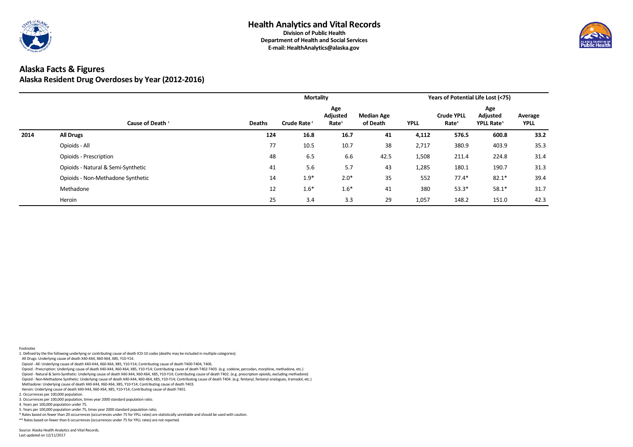

# **Alaska Facts & Figures Alaska Resident Drug Overdoses by Year (2012-2016)**

|      |                                    |               | <b>Mortality</b>        |                                      |                               |             |                                        | Years of Potential Life Lost (<75)        |                        |
|------|------------------------------------|---------------|-------------------------|--------------------------------------|-------------------------------|-------------|----------------------------------------|-------------------------------------------|------------------------|
|      | Cause of Death <sup>1</sup>        | <b>Deaths</b> | Crude Rate <sup>2</sup> | Age<br>Adjusted<br>Rate <sup>3</sup> | <b>Median Age</b><br>of Death | <b>YPLL</b> | <b>Crude YPLL</b><br>Rate <sup>4</sup> | Age<br>Adjusted<br>YPLL Rate <sup>5</sup> | Average<br><b>YPLL</b> |
| 2014 | <b>All Drugs</b>                   | 124           | 16.8                    | 16.7                                 | 41                            | 4,112       | 576.5                                  | 600.8                                     | 33.2                   |
|      | Opioids - All                      | 77            | 10.5                    | 10.7                                 | 38                            | 2,717       | 380.9                                  | 403.9                                     | 35.3                   |
|      | <b>Opioids - Prescription</b>      | 48            | 6.5                     | 6.6                                  | 42.5                          | 1,508       | 211.4                                  | 224.8                                     | 31.4                   |
|      | Opioids - Natural & Semi-Synthetic | 41            | 5.6                     | 5.7                                  | 43                            | 1,285       | 180.1                                  | 190.7                                     | 31.3                   |
|      | Opioids - Non-Methadone Synthetic  | 14            | $1.9*$                  | $2.0*$                               | 35                            | 552         | $77.4*$                                | $82.1*$                                   | 39.4                   |
|      | Methadone                          | 12            | $1.6*$                  | $1.6*$                               | 41                            | 380         | $53.3*$                                | $58.1*$                                   | 31.7                   |
|      | Heroin                             | 25            | 3.4                     | 3.3                                  | 29                            | 1,057       | 148.2                                  | 151.0                                     | 42.3                   |

Footnotes

1. Defined by the the following underlying or contributing cause of death ICD-10 codes (deaths may be included in multiple categories):

All Drugs: Underlying cause of death X40-X44, X60-X64, X85, Y10-Y14.

Opioid - All: Underlying cause of death X40-X44, X60-X64, X85, Y10-Y14; Contributing cause of death T400-T404, T406.

Opioid - Prescription: Underlying cause of death X40-X44, X60-X64, X85, Y10-Y14; Contributing cause of death T402-T403. (e.g. codeine, percodan, morphine, methadone, etc.)

Opioid - Natural & Semi-Synthetic: Underlying cause of death X40-X44, X60-X64, X85, Y10-Y14; Contributing cause of death T402. (e.g. prescription opioids, excluding methadone)

Opioid - Non-Methadone Synthetic: Underlying cause of death X40-X44, X60-X64, X85, Y10-Y14; Contributing cause of death T404. (e.g. fentanyl, fentanyl analogues, tramadol, etc.)

Methadone: Underlying cause of death X40-X44, X60-X64, X85, Y10-Y14; Contributing cause of death T403.

Heroin: Underlying cause of death X40-X44, X60-X64, X85, Y10-Y14; Contributing cause of death T401.

2. Occurrences per 100,000 population.

3. Occurrences per 100,000 population, times year 2000 standard population ratio.

4. Years per 100,000 population under 75.

5. Years per 100,000 population under 75, times year 2000 standard population ratio.

\* Rates based on fewer than 20 occurrences (occurrences under 75 for YPLL rates) are statistically unreliable and should be used with caution.

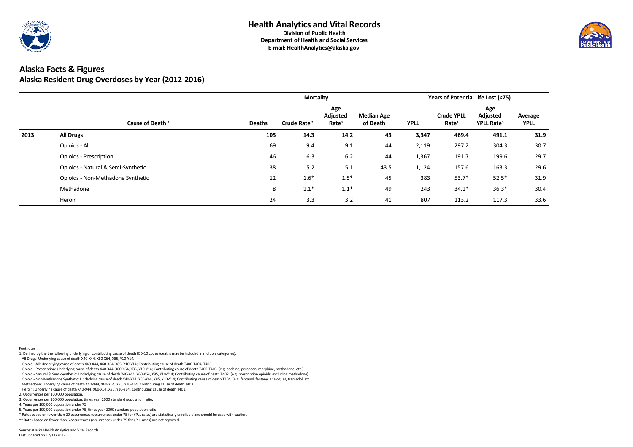

# **Alaska Facts & Figures Alaska Resident Drug Overdoses by Year (2012-2016)**

|      |                                    |               | <b>Mortality</b>        |                                      |                               |             | Years of Potential Life Lost (<75)     |                                                  |                        |
|------|------------------------------------|---------------|-------------------------|--------------------------------------|-------------------------------|-------------|----------------------------------------|--------------------------------------------------|------------------------|
|      | Cause of Death <sup>1</sup>        | <b>Deaths</b> | Crude Rate <sup>2</sup> | Age<br>Adjusted<br>Rate <sup>3</sup> | <b>Median Age</b><br>of Death | <b>YPLL</b> | <b>Crude YPLL</b><br>Rate <sup>4</sup> | Age<br><b>Adjusted</b><br>YPLL Rate <sup>5</sup> | Average<br><b>YPLL</b> |
| 2013 | <b>All Drugs</b>                   | 105           | 14.3                    | 14.2                                 | 43                            | 3,347       | 469.4                                  | 491.1                                            | 31.9                   |
|      | Opioids - All                      | 69            | 9.4                     | 9.1                                  | 44                            | 2,119       | 297.2                                  | 304.3                                            | 30.7                   |
|      | <b>Opioids - Prescription</b>      | 46            | 6.3                     | 6.2                                  | 44                            | 1,367       | 191.7                                  | 199.6                                            | 29.7                   |
|      | Opioids - Natural & Semi-Synthetic | 38            | 5.2                     | 5.1                                  | 43.5                          | 1,124       | 157.6                                  | 163.3                                            | 29.6                   |
|      | Opioids - Non-Methadone Synthetic  | 12            | $1.6*$                  | $1.5*$                               | 45                            | 383         | $53.7*$                                | $52.5*$                                          | 31.9                   |
|      | Methadone                          | 8             | $1.1*$                  | $1.1*$                               | 49                            | 243         | $34.1*$                                | $36.3*$                                          | 30.4                   |
|      | Heroin                             | 24            | 3.3                     | 3.2                                  | 41                            | 807         | 113.2                                  | 117.3                                            | 33.6                   |

Footnotes

1. Defined by the the following underlying or contributing cause of death ICD-10 codes (deaths may be included in multiple categories):

All Drugs: Underlying cause of death X40-X44, X60-X64, X85, Y10-Y14.

Opioid - All: Underlying cause of death X40-X44, X60-X64, X85, Y10-Y14; Contributing cause of death T400-T404, T406.

Opioid - Prescription: Underlying cause of death X40-X44, X60-X64, X85, Y10-Y14; Contributing cause of death T402-T403. (e.g. codeine, percodan, morphine, methadone, etc.)

Opioid - Natural & Semi-Synthetic: Underlying cause of death X40-X44, X60-X64, X85, Y10-Y14; Contributing cause of death T402. (e.g. prescription opioids, excluding methadone)

Opioid - Non-Methadone Synthetic: Underlying cause of death X40-X44, X60-X64, X85, Y10-Y14; Contributing cause of death T404. (e.g. fentanyl, fentanyl analogues, tramadol, etc.)

Methadone: Underlying cause of death X40-X44, X60-X64, X85, Y10-Y14; Contributing cause of death T403.

Heroin: Underlying cause of death X40-X44, X60-X64, X85, Y10-Y14; Contributing cause of death T401.

2. Occurrences per 100,000 population.

3. Occurrences per 100,000 population, times year 2000 standard population ratio.

4. Years per 100,000 population under 75.

5. Years per 100,000 population under 75, times year 2000 standard population ratio.

\* Rates based on fewer than 20 occurrences (occurrences under 75 for YPLL rates) are statistically unreliable and should be used with caution.

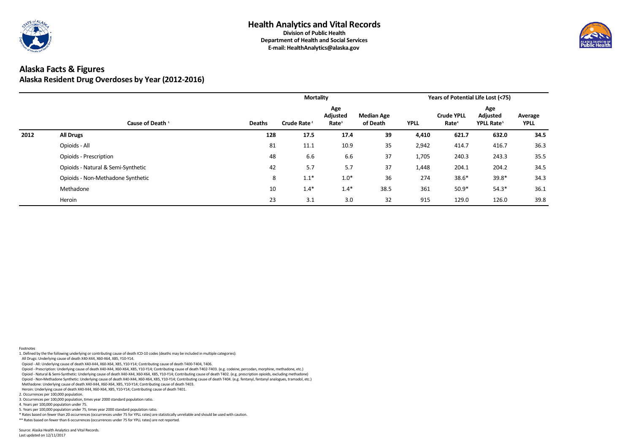

# **Alaska Facts & Figures Alaska Resident Drug Overdoses by Year (2012-2016)**

|      |                                    |               | <b>Mortality</b>        |                                      |                               |             |                                        | Years of Potential Life Lost (<75)               |                        |
|------|------------------------------------|---------------|-------------------------|--------------------------------------|-------------------------------|-------------|----------------------------------------|--------------------------------------------------|------------------------|
|      | Cause of Death <sup>1</sup>        | <b>Deaths</b> | Crude Rate <sup>2</sup> | Age<br>Adjusted<br>Rate <sup>3</sup> | <b>Median Age</b><br>of Death | <b>YPLL</b> | <b>Crude YPLL</b><br>Rate <sup>4</sup> | Age<br><b>Adjusted</b><br>YPLL Rate <sup>5</sup> | Average<br><b>YPLL</b> |
| 2012 | <b>All Drugs</b>                   | 128           | 17.5                    | 17.4                                 | 39                            | 4,410       | 621.7                                  | 632.0                                            | 34.5                   |
|      | Opioids - All                      | 81            | 11.1                    | 10.9                                 | 35                            | 2,942       | 414.7                                  | 416.7                                            | 36.3                   |
|      | <b>Opioids - Prescription</b>      | 48            | 6.6                     | 6.6                                  | 37                            | 1,705       | 240.3                                  | 243.3                                            | 35.5                   |
|      | Opioids - Natural & Semi-Synthetic | 42            | 5.7                     | 5.7                                  | 37                            | 1,448       | 204.1                                  | 204.2                                            | 34.5                   |
|      | Opioids - Non-Methadone Synthetic  | 8             | $1.1*$                  | $1.0*$                               | 36                            | 274         | 38.6*                                  | 39.8*                                            | 34.3                   |
|      | Methadone                          | 10            | $1.4*$                  | $1.4*$                               | 38.5                          | 361         | $50.9*$                                | $54.3*$                                          | 36.1                   |
|      | Heroin                             | 23            | 3.1                     | 3.0                                  | 32                            | 915         | 129.0                                  | 126.0                                            | 39.8                   |

Footnotes

1. Defined by the the following underlying or contributing cause of death ICD-10 codes (deaths may be included in multiple categories):

All Drugs: Underlying cause of death X40-X44, X60-X64, X85, Y10-Y14.

Opioid - All: Underlying cause of death X40-X44, X60-X64, X85, Y10-Y14; Contributing cause of death T400-T404, T406.

Opioid - Prescription: Underlying cause of death X40-X44, X60-X64, X85, Y10-Y14; Contributing cause of death T402-T403. (e.g. codeine, percodan, morphine, methadone, etc.)

Opioid - Natural & Semi-Synthetic: Underlying cause of death X40-X44, X60-X64, X85, Y10-Y14; Contributing cause of death T402. (e.g. prescription opioids, excluding methadone)

Opioid - Non-Methadone Synthetic: Underlying cause of death X40-X44, X60-X64, X85, Y10-Y14; Contributing cause of death T404. (e.g. fentanyl, fentanyl analogues, tramadol, etc.)

Methadone: Underlying cause of death X40-X44, X60-X64, X85, Y10-Y14; Contributing cause of death T403.

Heroin: Underlying cause of death X40-X44, X60-X64, X85, Y10-Y14; Contributing cause of death T401.

2. Occurrences per 100,000 population.

3. Occurrences per 100,000 population, times year 2000 standard population ratio.

4. Years per 100,000 population under 75.

5. Years per 100,000 population under 75, times year 2000 standard population ratio.

\* Rates based on fewer than 20 occurrences (occurrences under 75 for YPLL rates) are statistically unreliable and should be used with caution.

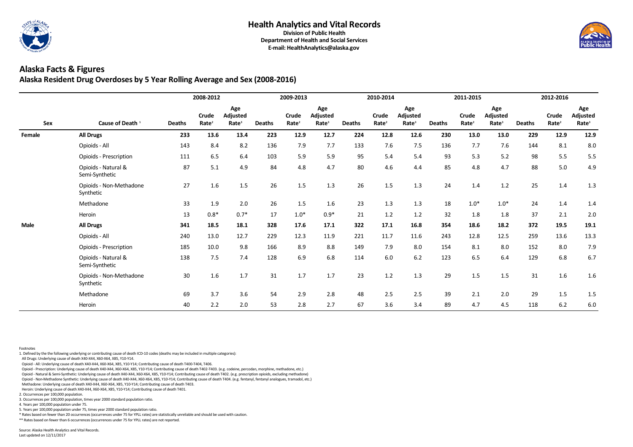

## **Alaska Facts & Figures Alaska Resident Drug Overdoses by 5 Year Rolling Average and Sex (2008-2016)**

|                                     |                                       |               | 2008-2012                         |                                      |               | 2009-2013                  |                                      |               | 2010-2014                         |                                             |               | 2011-2015                  |                                             |               | 2012-2016                  |                                      |
|-------------------------------------|---------------------------------------|---------------|-----------------------------------|--------------------------------------|---------------|----------------------------|--------------------------------------|---------------|-----------------------------------|---------------------------------------------|---------------|----------------------------|---------------------------------------------|---------------|----------------------------|--------------------------------------|
| <b>Sex</b><br>Female<br><b>Male</b> | Cause of Death <sup>1</sup>           | <b>Deaths</b> | <b>Crude</b><br>Rate <sup>2</sup> | Age<br>Adjusted<br>Rate <sup>3</sup> | <b>Deaths</b> | Crude<br>Rate <sup>2</sup> | Age<br>Adjusted<br>Rate <sup>3</sup> | <b>Deaths</b> | <b>Crude</b><br>Rate <sup>2</sup> | Age<br><b>Adjusted</b><br>Rate <sup>3</sup> | <b>Deaths</b> | Crude<br>Rate <sup>2</sup> | Age<br><b>Adjusted</b><br>Rate <sup>3</sup> | <b>Deaths</b> | Crude<br>Rate <sup>2</sup> | Age<br>Adjusted<br>Rate <sup>3</sup> |
|                                     | <b>All Drugs</b>                      | 233           | 13.6                              | 13.4                                 | 223           | 12.9                       | 12.7                                 | 224           | 12.8                              | 12.6                                        | 230           | 13.0                       | 13.0                                        | 229           | 12.9                       | 12.9                                 |
|                                     | Opioids - All                         | 143           | 8.4                               | 8.2                                  | 136           | 7.9                        | 7.7                                  | 133           | 7.6                               | 7.5                                         | 136           | 7.7                        | 7.6                                         | 144           | 8.1                        | 8.0                                  |
|                                     | <b>Opioids - Prescription</b>         | 111           | 6.5                               | 6.4                                  | 103           | 5.9                        | 5.9                                  | 95            | 5.4                               | 5.4                                         | 93            | 5.3                        | 5.2                                         | 98            | 5.5                        | 5.5                                  |
|                                     | Opioids - Natural &<br>Semi-Synthetic | 87            | 5.1                               | 4.9                                  | 84            | 4.8                        | 4.7                                  | 80            | 4.6                               | 4.4                                         | 85            | 4.8                        | 4.7                                         | 88            | $5.0$                      | 4.9                                  |
|                                     | Opioids - Non-Methadone<br>Synthetic  | 27            | 1.6                               | 1.5                                  | 26            | 1.5                        | 1.3                                  | 26            | 1.5                               | 1.3                                         | 24            | 1.4                        | 1.2                                         | 25            | $1.4\,$                    | 1.3                                  |
|                                     | Methadone                             | 33            | 1.9                               | 2.0                                  | 26            | 1.5                        | 1.6                                  | 23            | 1.3                               | 1.3                                         | 18            | $1.0*$                     | $1.0*$                                      | 24            | 1.4                        | 1.4                                  |
|                                     | Heroin                                | 13            | $0.8*$                            | $0.7*$                               | 17            | $1.0*$                     | $0.9*$                               | 21            | 1.2                               | 1.2                                         | 32            | 1.8                        | 1.8                                         | 37            | 2.1                        | 2.0                                  |
|                                     | <b>All Drugs</b>                      | 341           | 18.5                              | 18.1                                 | 328           | 17.6                       | 17.1                                 | 322           | 17.1                              | 16.8                                        | 354           | 18.6                       | 18.2                                        | 372           | 19.5                       | 19.1                                 |
|                                     | Opioids - All                         | 240           | 13.0                              | 12.7                                 | 229           | 12.3                       | 11.9                                 | 221           | 11.7                              | 11.6                                        | 243           | 12.8                       | 12.5                                        | 259           | 13.6                       | 13.3                                 |
|                                     | <b>Opioids - Prescription</b>         | 185           | 10.0                              | 9.8                                  | 166           | 8.9                        | 8.8                                  | 149           | 7.9                               | 8.0                                         | 154           | 8.1                        | 8.0                                         | 152           | 8.0                        | 7.9                                  |
|                                     | Opioids - Natural &<br>Semi-Synthetic | 138           | 7.5                               | 7.4                                  | 128           | 6.9                        | 6.8                                  | 114           | 6.0                               | 6.2                                         | 123           | 6.5                        | 6.4                                         | 129           | 6.8                        | 6.7                                  |
|                                     | Opioids - Non-Methadone<br>Synthetic  | 30            | 1.6                               | 1.7                                  | 31            | 1.7                        | $1.7$                                | 23            | 1.2                               | 1.3                                         | 29            | 1.5                        | 1.5                                         | 31            | 1.6                        | 1.6                                  |
|                                     | Methadone                             | 69            | 3.7                               | 3.6                                  | 54            | 2.9                        | 2.8                                  | 48            | 2.5                               | 2.5                                         | 39            | 2.1                        | 2.0                                         | 29            | 1.5                        | 1.5                                  |
|                                     | Heroin                                | 40            | 2.2                               | 2.0                                  | 53            | 2.8                        | 2.7                                  | 67            | 3.6                               | 3.4                                         | 89            | 4.7                        | 4.5                                         | 118           | 6.2                        | 6.0                                  |

Footnotes

1. Defined by the the following underlying or contributing cause of death ICD-10 codes (deaths may be included in multiple categories):

All Drugs: Underlying cause of death X40-X44, X60-X64, X85, Y10-Y14.

Opioid - All: Underlying cause of death X40-X44, X60-X64, X85, Y10-Y14; Contributing cause of death T400-T404, T406.

Opioid - Prescription: Underlying cause of death X40-X44, X60-X64, X85, Y10-Y14; Contributing cause of death T402-T403. (e.g. codeine, percodan, morphine, methadone, etc.)

Opioid - Natural & Semi-Synthetic: Underlying cause of death X40-X44, X60-X64, X85, Y10-Y14; Contributing cause of death T402. (e.g. prescription opioids, excluding methadone)

Opioid - Non-Methadone Synthetic: Underlying cause of death X40-X44, X60-X64, X85, Y10-Y14; Contributing cause of death T404. (e.g. fentanyl, fentanyl analogues, tramadol, etc.)

Methadone: Underlying cause of death X40-X44, X60-X64, X85, Y10-Y14; Contributing cause of death T403.

Heroin: Underlying cause of death X40-X44, X60-X64, X85, Y10-Y14; Contributing cause of death T401.

2. Occurrences per 100,000 population.

3. Occurrences per 100,000 population, times year 2000 standard population ratio.

4. Years per 100,000 population under 75.

5. Years per 100,000 population under 75, times year 2000 standard population ratio.

\* Rates based on fewer than 20 occurrences (occurrences under 75 for YPLL rates) are statistically unreliable and should be used with caution.

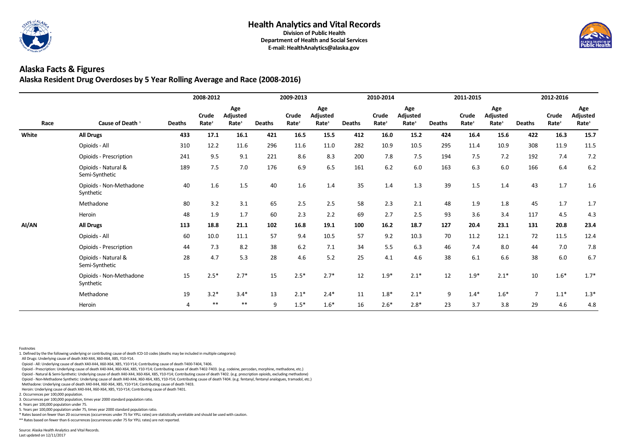

## **Alaska Facts & Figures Alaska Resident Drug Overdoses by 5 Year Rolling Average and Race (2008-2016)**

|                        |                                       |               | 2008-2012                         |                                      |               | 2009-2013                  |                                      |               | 2010-2014                  |                                             |               | 2011-2015                  |                                             |                | 2012-2016                  |                                             |
|------------------------|---------------------------------------|---------------|-----------------------------------|--------------------------------------|---------------|----------------------------|--------------------------------------|---------------|----------------------------|---------------------------------------------|---------------|----------------------------|---------------------------------------------|----------------|----------------------------|---------------------------------------------|
| Race<br>White<br>AI/AN | Cause of Death <sup>1</sup>           | <b>Deaths</b> | <b>Crude</b><br>Rate <sup>2</sup> | Age<br>Adjusted<br>Rate <sup>3</sup> | <b>Deaths</b> | Crude<br>Rate <sup>2</sup> | Age<br>Adjusted<br>Rate <sup>3</sup> | <b>Deaths</b> | Crude<br>Rate <sup>2</sup> | Age<br><b>Adjusted</b><br>Rate <sup>3</sup> | <b>Deaths</b> | Crude<br>Rate <sup>2</sup> | Age<br><b>Adjusted</b><br>Rate <sup>3</sup> | <b>Deaths</b>  | Crude<br>Rate <sup>2</sup> | Age<br><b>Adjusted</b><br>Rate <sup>3</sup> |
|                        | <b>All Drugs</b>                      | 433           | 17.1                              | 16.1                                 | 421           | 16.5                       | 15.5                                 | 412           | 16.0                       | 15.2                                        | 424           | 16.4                       | 15.6                                        | 422            | 16.3                       | 15.7                                        |
|                        | Opioids - All                         | 310           | 12.2                              | 11.6                                 | 296           | 11.6                       | 11.0                                 | 282           | 10.9                       | 10.5                                        | 295           | 11.4                       | 10.9                                        | 308            | 11.9                       | 11.5                                        |
|                        | <b>Opioids - Prescription</b>         | 241           | 9.5                               | 9.1                                  | 221           | 8.6                        | 8.3                                  | 200           | 7.8                        | 7.5                                         | 194           | 7.5                        | 7.2                                         | 192            | 7.4                        | 7.2                                         |
|                        | Opioids - Natural &<br>Semi-Synthetic | 189           | 7.5                               | 7.0                                  | 176           | 6.9                        | 6.5                                  | 161           | 6.2                        | $6.0\,$                                     | 163           | 6.3                        | 6.0                                         | 166            | 6.4                        | 6.2                                         |
|                        | Opioids - Non-Methadone<br>Synthetic  | 40            | 1.6                               | 1.5                                  | 40            | 1.6                        | 1.4                                  | 35            | 1.4                        | 1.3                                         | 39            | 1.5                        | 1.4                                         | 43             | 1.7                        | 1.6                                         |
|                        | Methadone                             | 80            | 3.2                               | 3.1                                  | 65            | 2.5                        | 2.5                                  | 58            | 2.3                        | 2.1                                         | 48            | 1.9                        | 1.8                                         | 45             | 1.7                        | 1.7                                         |
|                        | Heroin                                | 48            | 1.9                               | 1.7                                  | 60            | 2.3                        | 2.2                                  | 69            | 2.7                        | 2.5                                         | 93            | 3.6                        | 3.4                                         | 117            | 4.5                        | 4.3                                         |
|                        | <b>All Drugs</b>                      | 113           | 18.8                              | 21.1                                 | 102           | 16.8                       | 19.1                                 | 100           | 16.2                       | 18.7                                        | 127           | 20.4                       | 23.1                                        | 131            | 20.8                       | 23.4                                        |
|                        | Opioids - All                         | 60            | 10.0                              | 11.1                                 | 57            | 9.4                        | 10.5                                 | 57            | 9.2                        | 10.3                                        | 70            | 11.2                       | 12.1                                        | 72             | 11.5                       | 12.4                                        |
|                        | Opioids - Prescription                | 44            | 7.3                               | 8.2                                  | 38            | 6.2                        | 7.1                                  | 34            | 5.5                        | 6.3                                         | 46            | 7.4                        | 8.0                                         | 44             | 7.0                        | 7.8                                         |
|                        | Opioids - Natural &<br>Semi-Synthetic | 28            | 4.7                               | 5.3                                  | 28            | 4.6                        | 5.2                                  | 25            | 4.1                        | 4.6                                         | 38            | 6.1                        | 6.6                                         | 38             | 6.0                        | 6.7                                         |
|                        | Opioids - Non-Methadone<br>Synthetic  | 15            | $2.5*$                            | $2.7*$                               | 15            | $2.5*$                     | $2.7*$                               | 12            | $1.9*$                     | $2.1*$                                      | 12            | $1.9*$                     | $2.1*$                                      | 10             | $1.6*$                     | $1.7*$                                      |
|                        | Methadone                             | 19            | $3.2*$                            | $3.4*$                               | 13            | $2.1*$                     | $2.4*$                               | 11            | $1.8*$                     | $2.1*$                                      | 9             | $1.4*$                     | $1.6*$                                      | $\overline{7}$ | $1.1*$                     | $1.3*$                                      |
|                        | Heroin                                | 4             | $***$                             | $***$                                | 9             | $1.5*$                     | $1.6*$                               | 16            | $2.6*$                     | $2.8*$                                      | 23            | 3.7                        | 3.8                                         | 29             | 4.6                        | 4.8                                         |

Footnotes

1. Defined by the the following underlying or contributing cause of death ICD-10 codes (deaths may be included in multiple categories):

All Drugs: Underlying cause of death X40-X44, X60-X64, X85, Y10-Y14.

Opioid - All: Underlying cause of death X40-X44, X60-X64, X85, Y10-Y14; Contributing cause of death T400-T404, T406.

Opioid - Prescription: Underlying cause of death X40-X44, X60-X64, X85, Y10-Y14; Contributing cause of death T402-T403. (e.g. codeine, percodan, morphine, methadone, etc.)

Opioid - Natural & Semi-Synthetic: Underlying cause of death X40-X44, X60-X64, X85, Y10-Y14; Contributing cause of death T402. (e.g. prescription opioids, excluding methadone)

Opioid - Non-Methadone Synthetic: Underlying cause of death X40-X44, X60-X64, X85, Y10-Y14; Contributing cause of death T404. (e.g. fentanyl, fentanyl analogues, tramadol, etc.)

Methadone: Underlying cause of death X40-X44, X60-X64, X85, Y10-Y14; Contributing cause of death T403.

Heroin: Underlying cause of death X40-X44, X60-X64, X85, Y10-Y14; Contributing cause of death T401.

2. Occurrences per 100,000 population.

3. Occurrences per 100,000 population, times year 2000 standard population ratio.

4. Years per 100,000 population under 75.

5. Years per 100,000 population under 75, times year 2000 standard population ratio.

\* Rates based on fewer than 20 occurrences (occurrences under 75 for YPLL rates) are statistically unreliable and should be used with caution.

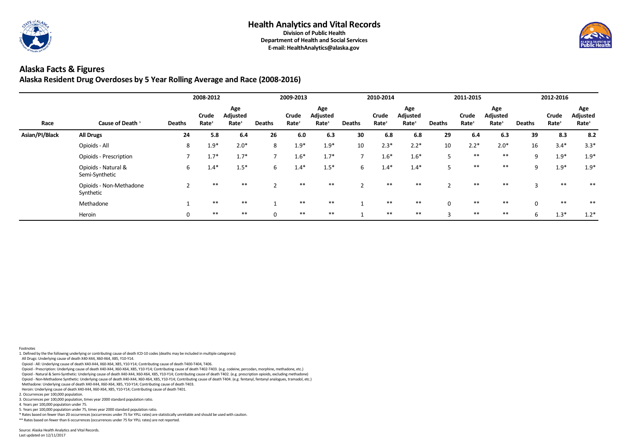

## **Alaska Facts & Figures Alaska Resident Drug Overdoses by 5 Year Rolling Average and Race (2008-2016)**

|                |                                       |               | 2008-2012                  |                                             |               | 2009-2013                  |                                             |               | 2010-2014                  |                                      |               | 2011-2015                  |                                      |               | 2012-2016                  |                                             |
|----------------|---------------------------------------|---------------|----------------------------|---------------------------------------------|---------------|----------------------------|---------------------------------------------|---------------|----------------------------|--------------------------------------|---------------|----------------------------|--------------------------------------|---------------|----------------------------|---------------------------------------------|
| Race           | Cause of Death <sup>1</sup>           | <b>Deaths</b> | Crude<br>Rate <sup>2</sup> | Age<br><b>Adjusted</b><br>Rate <sup>3</sup> | <b>Deaths</b> | Crude<br>Rate <sup>2</sup> | Age<br><b>Adjusted</b><br>Rate <sup>3</sup> | <b>Deaths</b> | Crude<br>Rate <sup>2</sup> | Age<br>Adjusted<br>Rate <sup>3</sup> | <b>Deaths</b> | Crude<br>Rate <sup>2</sup> | Age<br>Adjusted<br>Rate <sup>3</sup> | <b>Deaths</b> | Crude<br>Rate <sup>2</sup> | Age<br><b>Adjusted</b><br>Rate <sup>3</sup> |
| Asian/PI/Black | <b>All Drugs</b>                      | 24            | 5.8                        | 6.4                                         | 26            | 6.0                        | 6.3                                         | 30            | 6.8                        | 6.8                                  | 29            | 6.4                        | 6.3                                  | 39            | 8.3                        | 8.2                                         |
|                | Opioids - All                         | 8             | $1.9*$                     | $2.0*$                                      | 8             | $1.9*$                     | $1.9*$                                      | 10            | $2.3*$                     | $2.2*$                               | 10            | $2.2*$                     | $2.0*$                               | 16            | $3.4*$                     | $3.3*$                                      |
|                | <b>Opioids - Prescription</b>         |               | $1.7*$                     | $1.7*$                                      |               | $1.6*$                     | $1.7*$                                      |               | $1.6*$                     | $1.6*$                               | 5             | $***$                      | $***$                                | 9             | $1.9*$                     | $1.9*$                                      |
|                | Opioids - Natural &<br>Semi-Synthetic | 6             | $1.4*$                     | $1.5*$                                      | 6             | $1.4*$                     | $1.5*$                                      | 6             | $1.4*$                     | $1.4*$                               | 5             | $***$                      | $***$                                | 9             | $1.9*$                     | $1.9*$                                      |
|                | Opioids - Non-Methadone<br>Synthetic  |               | $***$                      | $***$                                       |               | $***$                      | $***$                                       | ຳ             | $***$                      | $***$                                |               | $***$                      | $***$                                | €             | $***$                      | $***$                                       |
|                | Methadone                             |               | $***$                      | $***$                                       |               | $***$                      | $***$                                       |               | $***$                      | $***$                                | $\mathbf 0$   | $**$                       | $***$                                | $\mathbf 0$   | $***$                      | $***$                                       |
|                | Heroin                                | $\mathbf 0$   | $***$                      | $***$                                       |               | $***$                      | $***$                                       |               | $***$                      | $***$                                | 3             | **                         | **                                   | 6             | $1.3*$                     | $1.2*$                                      |

Footnotes

1. Defined by the the following underlying or contributing cause of death ICD-10 codes (deaths may be included in multiple categories):

All Drugs: Underlying cause of death X40-X44, X60-X64, X85, Y10-Y14.

Opioid - All: Underlying cause of death X40-X44, X60-X64, X85, Y10-Y14; Contributing cause of death T400-T404, T406.

Opioid - Prescription: Underlying cause of death X40-X44, X60-X64, X85, Y10-Y14; Contributing cause of death T402-T403. (e.g. codeine, percodan, morphine, methadone, etc.)

Opioid - Natural & Semi-Synthetic: Underlying cause of death X40-X44, X60-X64, X85, Y10-Y14; Contributing cause of death T402. (e.g. prescription opioids, excluding methadone)

Opioid - Non-Methadone Synthetic: Underlying cause of death X40-X44, X60-X64, X85, Y10-Y14; Contributing cause of death T404. (e.g. fentanyl, fentanyl analogues, tramadol, etc.)

Methadone: Underlying cause of death X40-X44, X60-X64, X85, Y10-Y14; Contributing cause of death T403.

Heroin: Underlying cause of death X40-X44, X60-X64, X85, Y10-Y14; Contributing cause of death T401.

2. Occurrences per 100,000 population.

3. Occurrences per 100,000 population, times year 2000 standard population ratio.

4. Years per 100,000 population under 75.

5. Years per 100,000 population under 75, times year 2000 standard population ratio.

\* Rates based on fewer than 20 occurrences (occurrences under 75 for YPLL rates) are statistically unreliable and should be used with caution.

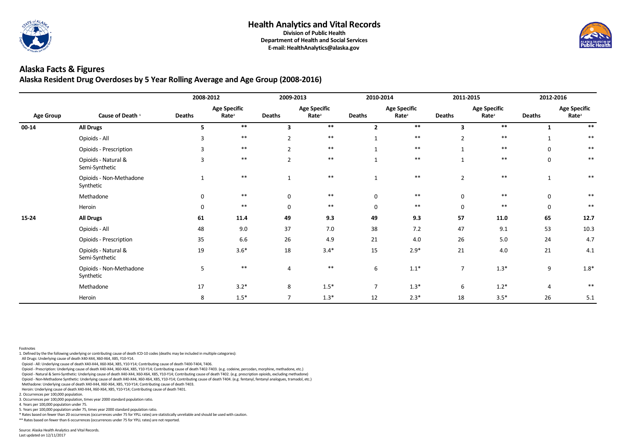

## **Alaska Facts & Figures Alaska Resident Drug Overdoses by 5 Year Rolling Average and Age Group (2008-2016)**

|                  |                                       | 2008-2012      |                                          | 2009-2013               |                                          | 2010-2014      |                                          | 2011-2015      |                                          | 2012-2016      |                                          |
|------------------|---------------------------------------|----------------|------------------------------------------|-------------------------|------------------------------------------|----------------|------------------------------------------|----------------|------------------------------------------|----------------|------------------------------------------|
| <b>Age Group</b> | Cause of Death <sup>1</sup>           | <b>Deaths</b>  | <b>Age Specific</b><br>Rate <sup>2</sup> | <b>Deaths</b>           | <b>Age Specific</b><br>Rate <sup>2</sup> | <b>Deaths</b>  | <b>Age Specific</b><br>Rate <sup>2</sup> | <b>Deaths</b>  | <b>Age Specific</b><br>Rate <sup>2</sup> | <b>Deaths</b>  | <b>Age Specific</b><br>Rate <sup>2</sup> |
| 00-14            | <b>All Drugs</b>                      | 5.             | $***$                                    | $\overline{\mathbf{3}}$ | $***$                                    | 2              | $***$                                    | $\mathbf{3}$   | $***$                                    |                | $***$                                    |
|                  | Opioids - All                         | $\overline{3}$ | $***$                                    |                         | $***$                                    |                | $***$                                    | $\overline{2}$ | $***$                                    |                | $***$                                    |
|                  | <b>Opioids - Prescription</b>         | 3              | $***$                                    |                         | $***$                                    |                | $***$                                    |                | $***$                                    | $\Omega$       | $***$                                    |
|                  | Opioids - Natural &<br>Semi-Synthetic | 3              | $***$                                    | $\overline{2}$          | $***$                                    |                | $***$                                    |                | $***$                                    | $\mathbf 0$    | $***$                                    |
|                  | Opioids - Non-Methadone<br>Synthetic  |                | $***$                                    | 1                       | $***$                                    |                | $***$                                    | $\overline{2}$ | $***$                                    |                | $***$                                    |
|                  | Methadone                             | $\overline{0}$ | $***$                                    | $\mathbf 0$             | $***$                                    | $\mathbf 0$    | $***$                                    | $\mathbf 0$    | $***$                                    | $\mathbf 0$    | $***$                                    |
|                  | Heroin                                | $\mathbf 0$    | $***$                                    | $\mathbf 0$             | $***$                                    | $\pmb{0}$      | $***$                                    | $\mathbf 0$    | $***$                                    | $\mathbf 0$    | $***$                                    |
| 15-24            | <b>All Drugs</b>                      | 61             | 11.4                                     | 49                      | 9.3                                      | 49             | 9.3                                      | 57             | 11.0                                     | 65             | 12.7                                     |
|                  | Opioids - All                         | 48             | 9.0                                      | 37                      | 7.0                                      | 38             | 7.2                                      | 47             | 9.1                                      | 53             | 10.3                                     |
|                  | <b>Opioids - Prescription</b>         | 35             | 6.6                                      | 26                      | 4.9                                      | 21             | 4.0                                      | 26             | 5.0                                      | 24             | 4.7                                      |
|                  | Opioids - Natural &<br>Semi-Synthetic | 19             | $3.6*$                                   | 18                      | $3.4*$                                   | 15             | $2.9*$                                   | 21             | 4.0                                      | 21             | 4.1                                      |
|                  | Opioids - Non-Methadone<br>Synthetic  | 5              | $***$                                    | $\overline{4}$          | $***$                                    | 6              | $1.1*$                                   | $\overline{7}$ | $1.3*$                                   | $9\,$          | $1.8*$                                   |
|                  | Methadone                             | 17             | $3.2*$                                   | 8                       | $1.5*$                                   | $\overline{7}$ | $1.3*$                                   | 6              | $1.2*$                                   | $\overline{4}$ | $***$                                    |
|                  | Heroin                                | 8              | $1.5*$                                   | $\overline{7}$          | $1.3*$                                   | 12             | $2.3*$                                   | 18             | $3.5*$                                   | 26             | 5.1                                      |

Footnotes

1. Defined by the the following underlying or contributing cause of death ICD-10 codes (deaths may be included in multiple categories):

All Drugs: Underlying cause of death X40-X44, X60-X64, X85, Y10-Y14.

Opioid - All: Underlying cause of death X40-X44, X60-X64, X85, Y10-Y14; Contributing cause of death T400-T404, T406.

Opioid - Prescription: Underlying cause of death X40-X44, X60-X64, X85, Y10-Y14; Contributing cause of death T402-T403. (e.g. codeine, percodan, morphine, methadone, etc.)

Opioid - Natural & Semi-Synthetic: Underlying cause of death X40-X44, X60-X64, X85, Y10-Y14; Contributing cause of death T402. (e.g. prescription opioids, excluding methadone)

Opioid - Non-Methadone Synthetic: Underlying cause of death X40-X44, X60-X64, X85, Y10-Y14; Contributing cause of death T404. (e.g. fentanyl, fentanyl analogues, tramadol, etc.)

Methadone: Underlying cause of death X40-X44, X60-X64, X85, Y10-Y14; Contributing cause of death T403.

Heroin: Underlying cause of death X40-X44, X60-X64, X85, Y10-Y14; Contributing cause of death T401.

2. Occurrences per 100,000 population.

3. Occurrences per 100,000 population, times year 2000 standard population ratio.

4. Years per 100,000 population under 75.

5. Years per 100,000 population under 75, times year 2000 standard population ratio.

\* Rates based on fewer than 20 occurrences (occurrences under 75 for YPLL rates) are statistically unreliable and should be used with caution.

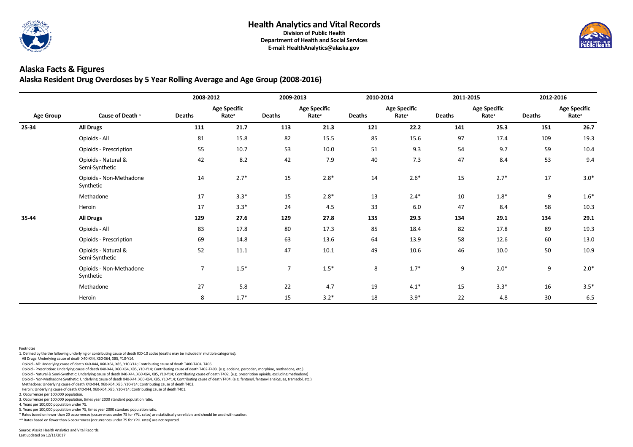

## **Alaska Facts & Figures Alaska Resident Drug Overdoses by 5 Year Rolling Average and Age Group (2008-2016)**

|                  |                                       | 2008-2012      |                                          | 2009-2013      |                                          | 2010-2014     |                                          | 2011-2015     |                                          | 2012-2016        |                                          |
|------------------|---------------------------------------|----------------|------------------------------------------|----------------|------------------------------------------|---------------|------------------------------------------|---------------|------------------------------------------|------------------|------------------------------------------|
| <b>Age Group</b> | Cause of Death <sup>1</sup>           | <b>Deaths</b>  | <b>Age Specific</b><br>Rate <sup>2</sup> | <b>Deaths</b>  | <b>Age Specific</b><br>Rate <sup>2</sup> | <b>Deaths</b> | <b>Age Specific</b><br>Rate <sup>2</sup> | <b>Deaths</b> | <b>Age Specific</b><br>Rate <sup>2</sup> | <b>Deaths</b>    | <b>Age Specific</b><br>Rate <sup>2</sup> |
| $25 - 34$        | <b>All Drugs</b>                      | 111            | 21.7                                     | 113            | 21.3                                     | 121           | 22.2                                     | 141           | 25.3                                     | 151              | 26.7                                     |
|                  | Opioids - All                         | 81             | 15.8                                     | 82             | 15.5                                     | 85            | 15.6                                     | 97            | 17.4                                     | 109              | 19.3                                     |
|                  | <b>Opioids - Prescription</b>         | 55             | 10.7                                     | 53             | 10.0                                     | 51            | 9.3                                      | 54            | 9.7                                      | 59               | 10.4                                     |
|                  | Opioids - Natural &<br>Semi-Synthetic | 42             | 8.2                                      | 42             | 7.9                                      | 40            | 7.3                                      | 47            | 8.4                                      | 53               | 9.4                                      |
|                  | Opioids - Non-Methadone<br>Synthetic  | 14             | $2.7*$                                   | 15             | $2.8*$                                   | 14            | $2.6*$                                   | 15            | $2.7*$                                   | 17               | $3.0*$                                   |
|                  | Methadone                             | 17             | $3.3*$                                   | 15             | $2.8*$                                   | 13            | $2.4*$                                   | 10            | $1.8*$                                   | $\boldsymbol{9}$ | $1.6*$                                   |
|                  | Heroin                                | 17             | $3.3*$                                   | 24             | 4.5                                      | 33            | 6.0                                      | 47            | 8.4                                      | 58               | 10.3                                     |
| 35-44            | <b>All Drugs</b>                      | 129            | 27.6                                     | 129            | 27.8                                     | 135           | 29.3                                     | 134           | 29.1                                     | 134              | 29.1                                     |
|                  | Opioids - All                         | 83             | 17.8                                     | 80             | 17.3                                     | 85            | 18.4                                     | 82            | 17.8                                     | 89               | 19.3                                     |
|                  | <b>Opioids - Prescription</b>         | 69             | 14.8                                     | 63             | 13.6                                     | 64            | 13.9                                     | 58            | 12.6                                     | 60               | 13.0                                     |
|                  | Opioids - Natural &<br>Semi-Synthetic | 52             | 11.1                                     | 47             | 10.1                                     | 49            | 10.6                                     | 46            | 10.0                                     | 50               | 10.9                                     |
|                  | Opioids - Non-Methadone<br>Synthetic  | $\overline{7}$ | $1.5*$                                   | $\overline{7}$ | $1.5*$                                   | 8             | $1.7*$                                   | $9\,$         | $2.0*$                                   | $\boldsymbol{9}$ | $2.0*$                                   |
|                  | Methadone                             | 27             | 5.8                                      | 22             | 4.7                                      | 19            | $4.1*$                                   | 15            | $3.3*$                                   | 16               | $3.5*$                                   |
|                  | Heroin                                | 8              | $1.7*$                                   | 15             | $3.2*$                                   | 18            | $3.9*$                                   | 22            | 4.8                                      | 30               | 6.5                                      |

Footnotes

1. Defined by the the following underlying or contributing cause of death ICD-10 codes (deaths may be included in multiple categories):

All Drugs: Underlying cause of death X40-X44, X60-X64, X85, Y10-Y14.

Opioid - All: Underlying cause of death X40-X44, X60-X64, X85, Y10-Y14; Contributing cause of death T400-T404, T406.

Opioid - Prescription: Underlying cause of death X40-X44, X60-X64, X85, Y10-Y14; Contributing cause of death T402-T403. (e.g. codeine, percodan, morphine, methadone, etc.)

Opioid - Natural & Semi-Synthetic: Underlying cause of death X40-X44, X60-X64, X85, Y10-Y14; Contributing cause of death T402. (e.g. prescription opioids, excluding methadone)

Opioid - Non-Methadone Synthetic: Underlying cause of death X40-X44, X60-X64, X85, Y10-Y14; Contributing cause of death T404. (e.g. fentanyl, fentanyl analogues, tramadol, etc.)

Methadone: Underlying cause of death X40-X44, X60-X64, X85, Y10-Y14; Contributing cause of death T403.

Heroin: Underlying cause of death X40-X44, X60-X64, X85, Y10-Y14; Contributing cause of death T401.

2. Occurrences per 100,000 population.

3. Occurrences per 100,000 population, times year 2000 standard population ratio.

4. Years per 100,000 population under 75.

5. Years per 100,000 population under 75, times year 2000 standard population ratio.

\* Rates based on fewer than 20 occurrences (occurrences under 75 for YPLL rates) are statistically unreliable and should be used with caution.

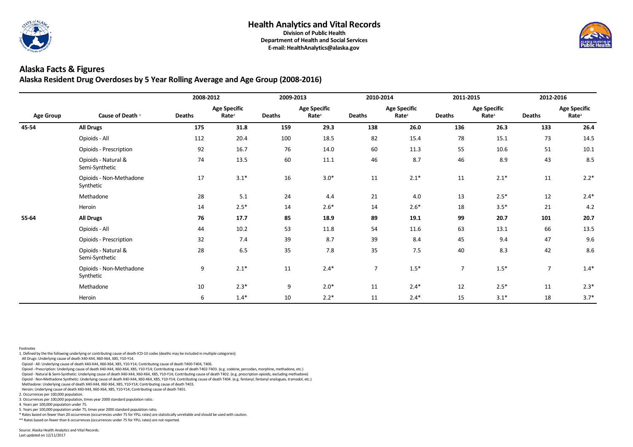

## **Alaska Facts & Figures Alaska Resident Drug Overdoses by 5 Year Rolling Average and Age Group (2008-2016)**

|                  |                                       | 2008-2012     |                                          | 2009-2013     |                                          | 2010-2014      |                                          | 2011-2015      |                                          | 2012-2016      |                                          |
|------------------|---------------------------------------|---------------|------------------------------------------|---------------|------------------------------------------|----------------|------------------------------------------|----------------|------------------------------------------|----------------|------------------------------------------|
| <b>Age Group</b> | Cause of Death <sup>1</sup>           | <b>Deaths</b> | <b>Age Specific</b><br>Rate <sup>2</sup> | <b>Deaths</b> | <b>Age Specific</b><br>Rate <sup>2</sup> | <b>Deaths</b>  | <b>Age Specific</b><br>Rate <sup>2</sup> | <b>Deaths</b>  | <b>Age Specific</b><br>Rate <sup>2</sup> | <b>Deaths</b>  | <b>Age Specific</b><br>Rate <sup>2</sup> |
| 45-54            | <b>All Drugs</b>                      | 175           | 31.8                                     | 159           | 29.3                                     | 138            | 26.0                                     | 136            | 26.3                                     | 133            | 26.4                                     |
|                  | Opioids - All                         | 112           | 20.4                                     | 100           | 18.5                                     | 82             | 15.4                                     | 78             | 15.1                                     | 73             | 14.5                                     |
|                  | <b>Opioids - Prescription</b>         | 92            | 16.7                                     | 76            | 14.0                                     | 60             | 11.3                                     | 55             | 10.6                                     | 51             | 10.1                                     |
|                  | Opioids - Natural &<br>Semi-Synthetic | 74            | 13.5                                     | 60            | 11.1                                     | 46             | 8.7                                      | 46             | 8.9                                      | 43             | 8.5                                      |
|                  | Opioids - Non-Methadone<br>Synthetic  | 17            | $3.1*$                                   | 16            | $3.0*$                                   | $11\,$         | $2.1*$                                   | $11\,$         | $2.1*$                                   | 11             | $2.2*$                                   |
|                  | Methadone                             | 28            | 5.1                                      | 24            | 4.4                                      | 21             | 4.0                                      | 13             | $2.5*$                                   | 12             | $2.4*$                                   |
|                  | Heroin                                | 14            | $2.5*$                                   | 14            | $2.6*$                                   | 14             | $2.6*$                                   | 18             | $3.5*$                                   | 21             | 4.2                                      |
| 55-64            | <b>All Drugs</b>                      | 76            | 17.7                                     | 85            | 18.9                                     | 89             | 19.1                                     | 99             | 20.7                                     | 101            | 20.7                                     |
|                  | Opioids - All                         | 44            | 10.2                                     | 53            | 11.8                                     | 54             | 11.6                                     | 63             | 13.1                                     | 66             | 13.5                                     |
|                  | Opioids - Prescription                | 32            | 7.4                                      | 39            | 8.7                                      | 39             | 8.4                                      | 45             | 9.4                                      | 47             | 9.6                                      |
|                  | Opioids - Natural &<br>Semi-Synthetic | 28            | 6.5                                      | 35            | 7.8                                      | 35             | 7.5                                      | 40             | 8.3                                      | 42             | 8.6                                      |
|                  | Opioids - Non-Methadone<br>Synthetic  | 9             | $2.1*$                                   | 11            | $2.4*$                                   | $\overline{7}$ | $1.5*$                                   | $\overline{7}$ | $1.5*$                                   | $\overline{7}$ | $1.4*$                                   |
|                  | Methadone                             | 10            | $2.3*$                                   | 9             | $2.0*$                                   | 11             | $2.4*$                                   | 12             | $2.5*$                                   | 11             | $2.3*$                                   |
|                  | Heroin                                | 6             | $1.4*$                                   | 10            | $2.2*$                                   | $11\,$         | $2.4*$                                   | 15             | $3.1*$                                   | 18             | $3.7*$                                   |

Footnotes

1. Defined by the the following underlying or contributing cause of death ICD-10 codes (deaths may be included in multiple categories):

All Drugs: Underlying cause of death X40-X44, X60-X64, X85, Y10-Y14.

Opioid - All: Underlying cause of death X40-X44, X60-X64, X85, Y10-Y14; Contributing cause of death T400-T404, T406.

Opioid - Prescription: Underlying cause of death X40-X44, X60-X64, X85, Y10-Y14; Contributing cause of death T402-T403. (e.g. codeine, percodan, morphine, methadone, etc.)

Opioid - Natural & Semi-Synthetic: Underlying cause of death X40-X44, X60-X64, X85, Y10-Y14; Contributing cause of death T402. (e.g. prescription opioids, excluding methadone)

Opioid - Non-Methadone Synthetic: Underlying cause of death X40-X44, X60-X64, X85, Y10-Y14; Contributing cause of death T404. (e.g. fentanyl, fentanyl analogues, tramadol, etc.)

Methadone: Underlying cause of death X40-X44, X60-X64, X85, Y10-Y14; Contributing cause of death T403.

Heroin: Underlying cause of death X40-X44, X60-X64, X85, Y10-Y14; Contributing cause of death T401.

2. Occurrences per 100,000 population.

3. Occurrences per 100,000 population, times year 2000 standard population ratio.

4. Years per 100,000 population under 75.

5. Years per 100,000 population under 75, times year 2000 standard population ratio.

\* Rates based on fewer than 20 occurrences (occurrences under 75 for YPLL rates) are statistically unreliable and should be used with caution.

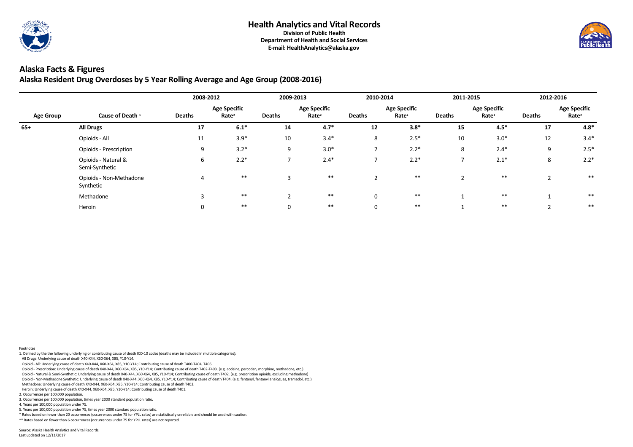

## **Alaska Facts & Figures Alaska Resident Drug Overdoses by 5 Year Rolling Average and Age Group (2008-2016)**

|                  |                                       | 2008-2012     |                                          | 2009-2013     |                                          | 2010-2014     |                                          | 2011-2015              |                                          | 2012-2016     |                                          |
|------------------|---------------------------------------|---------------|------------------------------------------|---------------|------------------------------------------|---------------|------------------------------------------|------------------------|------------------------------------------|---------------|------------------------------------------|
| <b>Age Group</b> | Cause of Death <sup>1</sup>           | <b>Deaths</b> | <b>Age Specific</b><br>Rate <sup>2</sup> | <b>Deaths</b> | <b>Age Specific</b><br>Rate <sup>2</sup> | <b>Deaths</b> | <b>Age Specific</b><br>Rate <sup>2</sup> | <b>Deaths</b>          | <b>Age Specific</b><br>Rate <sup>2</sup> | <b>Deaths</b> | <b>Age Specific</b><br>Rate <sup>2</sup> |
| $65+$            | <b>All Drugs</b>                      | 17            | $6.1*$                                   | 14            | $4.7*$                                   | 12            | $3.8*$                                   | 15                     | $4.5*$                                   | 17            | $4.8*$                                   |
|                  | Opioids - All                         | 11            | $3.9*$                                   | 10            | $3.4*$                                   | 8             | $2.5*$                                   | 10                     | $3.0*$                                   | 12            | $3.4*$                                   |
|                  | <b>Opioids - Prescription</b>         | 9             | $3.2*$                                   | 9             | $3.0*$                                   | 7             | $2.2*$                                   | 8                      | $2.4*$                                   | 9             | $2.5*$                                   |
|                  | Opioids - Natural &<br>Semi-Synthetic | 6             | $2.2*$                                   |               | $2.4*$                                   |               | $2.2*$                                   |                        | $2.1*$                                   | 8             | $2.2*$                                   |
|                  | Opioids - Non-Methadone<br>Synthetic  |               | $***$                                    | 3             | $\ast\ast$                               | 2             | $***$                                    | $\mathbf{\hat{}}$<br>∠ | $***$                                    |               | $***$                                    |
|                  | Methadone                             |               | $***$                                    |               | $\ast\ast$                               | $\mathbf{0}$  | $***$                                    |                        | $***$                                    |               | $***$                                    |
|                  | Heroin                                | $\mathbf 0$   | $***$                                    | 0             | $***$                                    | $\mathbf{0}$  | $***$                                    |                        | $***$                                    |               | $***$                                    |

Footnotes

1. Defined by the the following underlying or contributing cause of death ICD-10 codes (deaths may be included in multiple categories):

All Drugs: Underlying cause of death X40-X44, X60-X64, X85, Y10-Y14.

Opioid - All: Underlying cause of death X40-X44, X60-X64, X85, Y10-Y14; Contributing cause of death T400-T404, T406.

Opioid - Prescription: Underlying cause of death X40-X44, X60-X64, X85, Y10-Y14; Contributing cause of death T402-T403. (e.g. codeine, percodan, morphine, methadone, etc.)

Opioid - Natural & Semi-Synthetic: Underlying cause of death X40-X44, X60-X64, X85, Y10-Y14; Contributing cause of death T402. (e.g. prescription opioids, excluding methadone)

Opioid - Non-Methadone Synthetic: Underlying cause of death X40-X44, X60-X64, X85, Y10-Y14; Contributing cause of death T404. (e.g. fentanyl, fentanyl analogues, tramadol, etc.)

Methadone: Underlying cause of death X40-X44, X60-X64, X85, Y10-Y14; Contributing cause of death T403.

Heroin: Underlying cause of death X40-X44, X60-X64, X85, Y10-Y14; Contributing cause of death T401.

2. Occurrences per 100,000 population.

3. Occurrences per 100,000 population, times year 2000 standard population ratio.

4. Years per 100,000 population under 75.

5. Years per 100,000 population under 75, times year 2000 standard population ratio.

\* Rates based on fewer than 20 occurrences (occurrences under 75 for YPLL rates) are statistically unreliable and should be used with caution.

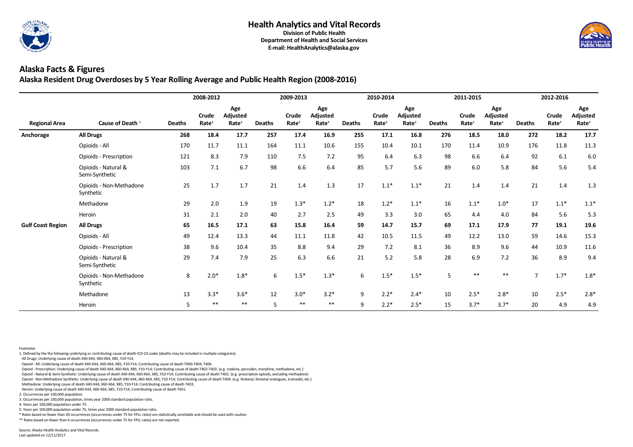

#### **Health Analytics and Vital Records Division of Public Health**

**Department of Health and Social Services E-mail: HealthAnalytics@alaska.gov** 

## **Alaska Facts & Figures Alaska Resident Drug Overdoses by 5 Year Rolling Average and Public Health Region (2008-2016)**

|                          | Cause of Death <sup>1</sup>           | 2008-2012     |                                   |                                      | 2009-2013     |                            |                                             |               | 2010-2014                  |                                      |               | 2011-2015                  |                                      | 2012-2016      |                            |                                      |
|--------------------------|---------------------------------------|---------------|-----------------------------------|--------------------------------------|---------------|----------------------------|---------------------------------------------|---------------|----------------------------|--------------------------------------|---------------|----------------------------|--------------------------------------|----------------|----------------------------|--------------------------------------|
| <b>Regional Area</b>     |                                       | <b>Deaths</b> | <b>Crude</b><br>Rate <sup>2</sup> | Age<br>Adjusted<br>Rate <sup>3</sup> | <b>Deaths</b> | Crude<br>Rate <sup>2</sup> | Age<br><b>Adjusted</b><br>Rate <sup>3</sup> | <b>Deaths</b> | Crude<br>Rate <sup>2</sup> | Age<br>Adjusted<br>Rate <sup>3</sup> | <b>Deaths</b> | Crude<br>Rate <sup>2</sup> | Age<br>Adjusted<br>Rate <sup>3</sup> | <b>Deaths</b>  | Crude<br>Rate <sup>2</sup> | Age<br>Adjusted<br>Rate <sup>3</sup> |
| Anchorage                | <b>All Drugs</b>                      | 268           | 18.4                              | 17.7                                 | 257           | 17.4                       | 16.9                                        | 255           | 17.1                       | 16.8                                 | 276           | 18.5                       | 18.0                                 | 272            | 18.2                       | 17.7                                 |
|                          | Opioids - All                         | 170           | 11.7                              | 11.1                                 | 164           | 11.1                       | 10.6                                        | 155           | 10.4                       | 10.1                                 | 170           | 11.4                       | 10.9                                 | 176            | 11.8                       | 11.3                                 |
|                          | <b>Opioids - Prescription</b>         | 121           | 8.3                               | 7.9                                  | 110           | 7.5                        | 7.2                                         | 95            | 6.4                        | 6.3                                  | 98            | 6.6                        | 6.4                                  | 92             | 6.1                        | 6.0                                  |
|                          | Opioids - Natural &<br>Semi-Synthetic | 103           | 7.1                               | 6.7                                  | 98            | 6.6                        | 6.4                                         | 85            | 5.7                        | 5.6                                  | 89            | 6.0                        | 5.8                                  | 84             | 5.6                        | 5.4                                  |
|                          | Opioids - Non-Methadone<br>Synthetic  | 25            | 1.7                               | 1.7                                  | 21            | 1.4                        | 1.3                                         | 17            | $1.1*$                     | $1.1*$                               | 21            | 1.4                        | 1.4                                  | 21             | 1.4                        | 1.3                                  |
|                          | Methadone                             | 29            | 2.0                               | 1.9                                  | 19            | $1.3*$                     | $1.2*$                                      | 18            | $1.2*$                     | $1.1*$                               | 16            | $1.1*$                     | $1.0*$                               | 17             | $1.1*$                     | $1.1*$                               |
|                          | Heroin                                | 31            | 2.1                               | 2.0                                  | 40            | 2.7                        | 2.5                                         | 49            | 3.3                        | 3.0                                  | 65            | 4.4                        | 4.0                                  | 84             | 5.6                        | 5.3                                  |
| <b>Gulf Coast Region</b> | <b>All Drugs</b>                      | 65            | 16.5                              | 17.1                                 | 63            | 15.8                       | 16.4                                        | 59            | 14.7                       | 15.7                                 | 69            | 17.1                       | 17.9                                 | 77             | 19.1                       | 19.6                                 |
|                          | Opioids - All                         | 49            | 12.4                              | 13.3                                 | 44            | 11.1                       | 11.8                                        | 42            | 10.5                       | 11.5                                 | 49            | 12.2                       | 13.0                                 | 59             | 14.6                       | 15.3                                 |
|                          | Opioids - Prescription                | 38            | 9.6                               | 10.4                                 | 35            | 8.8                        | 9.4                                         | 29            | 7.2                        | 8.1                                  | 36            | 8.9                        | 9.6                                  | 44             | 10.9                       | 11.6                                 |
|                          | Opioids - Natural &<br>Semi-Synthetic | 29            | 7.4                               | 7.9                                  | 25            | 6.3                        | 6.6                                         | 21            | 5.2                        | 5.8                                  | 28            | 6.9                        | 7.2                                  | 36             | 8.9                        | 9.4                                  |
|                          | Opioids - Non-Methadone<br>Synthetic  | 8             | $2.0*$                            | $1.8*$                               | 6             | $1.5*$                     | $1.3*$                                      | 6             | $1.5*$                     | $1.5*$                               | 5             | $***$                      | $***$                                | $\overline{7}$ | $1.7*$                     | $1.8*$                               |
|                          | Methadone                             | 13            | $3.3*$                            | $3.6*$                               | 12            | $3.0*$                     | $3.2*$                                      | 9             | $2.2*$                     | $2.4*$                               | 10            | $2.5*$                     | $2.8*$                               | 10             | $2.5*$                     | $2.8*$                               |
|                          | Heroin                                | 5             | $***$                             | $***$                                | 5             | $***$                      | $***$                                       | 9             | $2.2*$                     | $2.5*$                               | 15            | $3.7*$                     | $3.7*$                               | 20             | 4.9                        | 4.9                                  |

Footnotes

1. Defined by the the following underlying or contributing cause of death ICD-10 codes (deaths may be included in multiple categories):

All Drugs: Underlying cause of death X40-X44, X60-X64, X85, Y10-Y14.

Opioid - All: Underlying cause of death X40-X44, X60-X64, X85, Y10-Y14; Contributing cause of death T400-T404, T406.

Opioid - Prescription: Underlying cause of death X40-X44, X60-X64, X85, Y10-Y14; Contributing cause of death T402-T403. (e.g. codeine, percodan, morphine, methadone, etc.)

Opioid - Natural & Semi-Synthetic: Underlying cause of death X40-X44, X60-X64, X85, Y10-Y14; Contributing cause of death T402. (e.g. prescription opioids, excluding methadone)

Opioid - Non-Methadone Synthetic: Underlying cause of death X40-X44, X60-X64, X85, Y10-Y14; Contributing cause of death T404. (e.g. fentanyl, fentanyl analogues, tramadol, etc.)

Methadone: Underlying cause of death X40-X44, X60-X64, X85, Y10-Y14; Contributing cause of death T403.

Heroin: Underlying cause of death X40-X44, X60-X64, X85, Y10-Y14; Contributing cause of death T401.

2. Occurrences per 100,000 population.

3. Occurrences per 100,000 population, times year 2000 standard population ratio.

4. Years per 100,000 population under 75.

5. Years per 100,000 population under 75, times year 2000 standard population ratio.

\* Rates based on fewer than 20 occurrences (occurrences under 75 for YPLL rates) are statistically unreliable and should be used with caution.

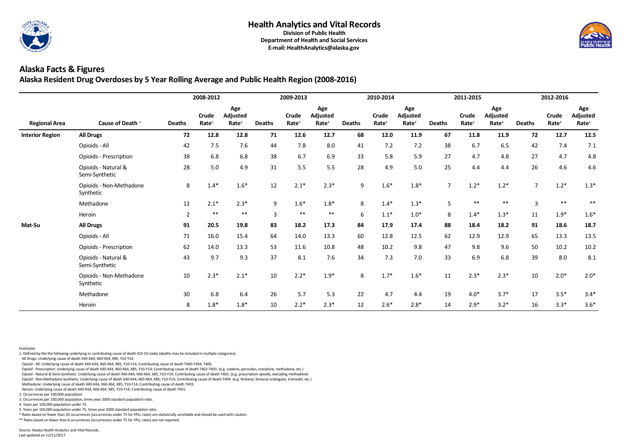

#### **Health Analytics and Vital Records Division of Public Health**

**Department of Health and Social Services E-mail: HealthAnalytics@alaska.gov** 

## **Alaska Facts & Figures Alaska Resident Drug Overdoses by 5 Year Rolling Average and Public Health Region (2008-2016)**

|                        | Cause of Death <sup>1</sup>           | 2008-2012      |                                   |                                             | 2009-2013      |                                   |                                             |               | 2010-2014                         |                                             |                | 2011-2015                  |                                             | 2012-2016      |                            |                                             |
|------------------------|---------------------------------------|----------------|-----------------------------------|---------------------------------------------|----------------|-----------------------------------|---------------------------------------------|---------------|-----------------------------------|---------------------------------------------|----------------|----------------------------|---------------------------------------------|----------------|----------------------------|---------------------------------------------|
| <b>Regional Area</b>   |                                       | <b>Deaths</b>  | <b>Crude</b><br>Rate <sup>2</sup> | Age<br><b>Adjusted</b><br>Rate <sup>3</sup> | <b>Deaths</b>  | <b>Crude</b><br>Rate <sup>2</sup> | Age<br><b>Adjusted</b><br>Rate <sup>3</sup> | <b>Deaths</b> | <b>Crude</b><br>Rate <sup>2</sup> | Age<br><b>Adjusted</b><br>Rate <sup>3</sup> | <b>Deaths</b>  | Crude<br>Rate <sup>2</sup> | Age<br><b>Adjusted</b><br>Rate <sup>3</sup> | <b>Deaths</b>  | Crude<br>Rate <sup>2</sup> | Age<br><b>Adjusted</b><br>Rate <sup>3</sup> |
| <b>Interior Region</b> | <b>All Drugs</b>                      | 72             | 12.8                              | 12.8                                        | 71             | 12.6                              | 12.7                                        | 68            | 12.0                              | 11.9                                        | 67             | 11.8                       | 11.9                                        | 72             | 12.7                       | 12.5                                        |
|                        | Opioids - All                         | 42             | 7.5                               | 7.6                                         | 44             | 7.8                               | 8.0                                         | 41            | 7.2                               | 7.2                                         | 38             | 6.7                        | 6.5                                         | 42             | 7.4                        | 7.1                                         |
|                        | <b>Opioids - Prescription</b>         | 38             | 6.8                               | 6.8                                         | 38             | 6.7                               | 6.9                                         | 33            | 5.8                               | 5.9                                         | 27             | 4.7                        | 4.8                                         | 27             | 4.7                        | 4.8                                         |
|                        | Opioids - Natural &<br>Semi-Synthetic | 28             | 5.0                               | 4.9                                         | 31             | 5.5                               | 5.5                                         | 28            | 4.9                               | 5.0                                         | 25             | 4.4                        | 4.4                                         | 26             | 4.6                        | 4.6                                         |
|                        | Opioids - Non-Methadone<br>Synthetic  | 8              | $1.4*$                            | $1.6*$                                      | 12             | $2.1*$                            | $2.3*$                                      | 9             | $1.6*$                            | $1.8*$                                      | $\overline{7}$ | $1.2*$                     | $1.2*$                                      | $\overline{7}$ | $1.2*$                     | $1.3*$                                      |
|                        | Methadone                             | 12             | $2.1*$                            | $2.3*$                                      | 9              | $1.6*$                            | $1.8*$                                      | 8             | $1.4*$                            | $1.3*$                                      | 5              | $***$                      | $***$                                       | 3              | $***$                      | $***$                                       |
|                        | Heroin                                | $\overline{2}$ | $***$                             | $***$                                       | $\overline{3}$ | $***$                             | $***$                                       | 6             | $1.1*$                            | $1.0*$                                      | 8              | $1.4*$                     | $1.3*$                                      | 11             | $1.9*$                     | $1.6*$                                      |
| Mat-Su                 | <b>All Drugs</b>                      | 91             | 20.5                              | 19.8                                        | 83             | 18.2                              | 17.3                                        | 84            | 17.9                              | 17.4                                        | 88             | 18.4                       | 18.2                                        | 91             | 18.6                       | 18.7                                        |
|                        | Opioids - All                         | 71             | 16.0                              | 15.4                                        | 64             | 14.0                              | 13.3                                        | 60            | 12.8                              | 12.5                                        | 62             | 12.9                       | 12.9                                        | 65             | 13.3                       | 13.5                                        |
|                        | <b>Opioids - Prescription</b>         | 62             | 14.0                              | 13.3                                        | 53             | 11.6                              | 10.8                                        | 48            | 10.2                              | 9.8                                         | 47             | 9.8                        | 9.6                                         | 50             | 10.2                       | 10.2                                        |
|                        | Opioids - Natural &<br>Semi-Synthetic | 43             | 9.7                               | 9.3                                         | 37             | 8.1                               | 7.6                                         | 34            | 7.3                               | 7.0                                         | 33             | 6.9                        | 6.8                                         | 39             | 8.0                        | 8.1                                         |
|                        | Opioids - Non-Methadone<br>Synthetic  | 10             | $2.3*$                            | $2.1*$                                      | 10             | $2.2*$                            | $1.9*$                                      | 8             | $1.7*$                            | $1.6*$                                      | 11             | $2.3*$                     | $2.3*$                                      | 10             | $2.0*$                     | $2.0*$                                      |
|                        | Methadone                             | 30             | 6.8                               | 6.4                                         | 26             | 5.7                               | 5.3                                         | 22            | 4.7                               | 4.4                                         | 19             | $4.0*$                     | $3.7*$                                      | 17             | $3.5*$                     | $3.4*$                                      |
|                        | Heroin                                | 8              | $1.8*$                            | $1.8*$                                      | 10             | $2.2*$                            | $2.3*$                                      | 12            | $2.6*$                            | $2.8*$                                      | 14             | $2.9*$                     | $3.2*$                                      | 16             | $3.3*$                     | $3.6*$                                      |

Footnotes

1. Defined by the the following underlying or contributing cause of death ICD-10 codes (deaths may be included in multiple categories):

All Drugs: Underlying cause of death X40-X44, X60-X64, X85, Y10-Y14.

Opioid - All: Underlying cause of death X40-X44, X60-X64, X85, Y10-Y14; Contributing cause of death T400-T404, T406.

Opioid - Prescription: Underlying cause of death X40-X44, X60-X64, X85, Y10-Y14; Contributing cause of death T402-T403. (e.g. codeine, percodan, morphine, methadone, etc.)

Opioid - Natural & Semi-Synthetic: Underlying cause of death X40-X44, X60-X64, X85, Y10-Y14; Contributing cause of death T402. (e.g. prescription opioids, excluding methadone)

Opioid - Non-Methadone Synthetic: Underlying cause of death X40-X44, X60-X64, X85, Y10-Y14; Contributing cause of death T404. (e.g. fentanyl, fentanyl analogues, tramadol, etc.)

Methadone: Underlying cause of death X40-X44, X60-X64, X85, Y10-Y14; Contributing cause of death T403.

Heroin: Underlying cause of death X40-X44, X60-X64, X85, Y10-Y14; Contributing cause of death T401.

2. Occurrences per 100,000 population.

3. Occurrences per 100,000 population, times year 2000 standard population ratio.

4. Years per 100,000 population under 75.

5. Years per 100,000 population under 75, times year 2000 standard population ratio.

\* Rates based on fewer than 20 occurrences (occurrences under 75 for YPLL rates) are statistically unreliable and should be used with caution.

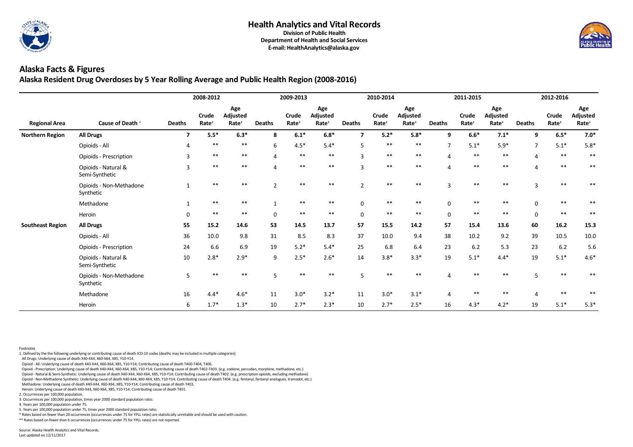

#### **Health Analytics and Vital Records Division of Public Health**

**Department of Health and Social Services E-mail: HealthAnalytics@alaska.gov** 

## **Alaska Facts & Figures Alaska Resident Drug Overdoses by 5 Year Rolling Average and Public Health Region (2008-2016)**

|                         | Cause of Death <sup>1</sup>           | 2008-2012      |                            |                                             | 2009-2013     |                                   |                                             |                         | 2010-2014                  |                                             |               | 2011-2015                  |                                             | 2012-2016     |                            |                                      |
|-------------------------|---------------------------------------|----------------|----------------------------|---------------------------------------------|---------------|-----------------------------------|---------------------------------------------|-------------------------|----------------------------|---------------------------------------------|---------------|----------------------------|---------------------------------------------|---------------|----------------------------|--------------------------------------|
| <b>Regional Area</b>    |                                       | <b>Deaths</b>  | Crude<br>Rate <sup>2</sup> | Age<br><b>Adjusted</b><br>Rate <sup>3</sup> | <b>Deaths</b> | <b>Crude</b><br>Rate <sup>2</sup> | Age<br><b>Adjusted</b><br>Rate <sup>3</sup> | <b>Deaths</b>           | Crude<br>Rate <sup>2</sup> | Age<br><b>Adjusted</b><br>Rate <sup>3</sup> | <b>Deaths</b> | Crude<br>Rate <sup>2</sup> | Age<br><b>Adjusted</b><br>Rate <sup>3</sup> | <b>Deaths</b> | Crude<br>Rate <sup>2</sup> | Age<br>Adjusted<br>Rate <sup>3</sup> |
| <b>Northern Region</b>  | <b>All Drugs</b>                      | $\mathbf{7}$   | $5.5*$                     | $6.3*$                                      | 8             | $6.1*$                            | $6.8*$                                      | $\overline{\mathbf{z}}$ | $5.2*$                     | $5.8*$                                      | 9             | $6.6*$                     | $7.1*$                                      | 9             | $6.5*$                     | $7.0*$                               |
|                         | Opioids - All                         |                | $***$                      | $***$                                       | 6             | $4.5*$                            | $5.4*$                                      | 5                       | $***$                      | $***$                                       | 7             | $5.1*$                     | $5.9*$                                      | 7             | $5.1*$                     | $5.8*$                               |
|                         | Opioids - Prescription                | $\overline{3}$ | $***$                      | $***$                                       |               | $***$                             | $***$                                       | $\overline{3}$          | $***$                      | $***$                                       |               | $***$                      | $***$                                       |               | $***$                      | $***$                                |
|                         | Opioids - Natural &<br>Semi-Synthetic | 3              | $***$                      | $***$                                       |               | $***$                             | $***$                                       | $\overline{3}$          | $***$                      | $***$                                       | $\Delta$      | $***$                      | $***$                                       |               | $***$                      | $***$                                |
|                         | Opioids - Non-Methadone<br>Synthetic  |                | $***$                      | $***$                                       |               | $***$                             | $***$                                       | $\overline{2}$          | $***$                      | $***$                                       | 3             | $***$                      | $***$                                       |               | $***$                      | $**$                                 |
|                         | Methadone                             |                | $***$                      | $***$                                       |               | $***$                             | $***$                                       | $\mathbf 0$             | $***$                      | $***$                                       | $\mathbf 0$   | $***$                      | $***$                                       |               | $***$                      | $**$                                 |
|                         | Heroin                                | $\mathbf 0$    | $***$                      | $***$                                       |               | $***$                             | $***$                                       | $\pmb{0}$               | $***$                      | $***$                                       | $\mathbf 0$   | $***$                      | $***$                                       | $\Omega$      | $***$                      | $***$                                |
| <b>Southeast Region</b> | <b>All Drugs</b>                      | 55             | 15.2                       | 14.6                                        | 53            | 14.5                              | 13.7                                        | 57                      | 15.5                       | 14.2                                        | 57            | 15.4                       | 13.6                                        | 60            | 16.2                       | 15.3                                 |
|                         | Opioids - All                         | 36             | 10.0                       | 9.8                                         | 31            | 8.5                               | 8.3                                         | 37                      | 10.0                       | 9.4                                         | 38            | 10.2                       | 9.2                                         | 39            | 10.5                       | 10.0                                 |
|                         | Opioids - Prescription                | 24             | 6.6                        | 6.9                                         | 19            | $5.2*$                            | $5.4*$                                      | 25                      | 6.8                        | 6.4                                         | 23            | 6.2                        | 5.3                                         | 23            | 6.2                        | 5.6                                  |
|                         | Opioids - Natural &<br>Semi-Synthetic | $10\,$         | $2.8*$                     | $2.9*$                                      | 9             | $2.5*$                            | $2.6*$                                      | 14                      | $3.8*$                     | $3.3*$                                      | 19            | $5.1*$                     | $4.4*$                                      | 19            | $5.1*$                     | $4.6*$                               |
|                         | Opioids - Non-Methadone<br>Synthetic  | 5              | $***$                      | $***$                                       |               | $***$                             | $***$                                       | 5                       | $***$                      | $***$                                       |               | **                         | $***$                                       |               | $***$                      | $***$                                |
|                         | Methadone                             | 16             | $4.4*$                     | $4.6*$                                      | 11            | $3.0*$                            | $3.2*$                                      | 11                      | $3.0*$                     | $3.1*$                                      | 4             | **                         | $***$                                       |               | $***$                      | $***$                                |
|                         | Heroin                                | 6              | $1.7*$                     | $1.3*$                                      | 10            | $2.7*$                            | $2.3*$                                      | 10                      | $2.7*$                     | $2.5*$                                      | 16            | $4.3*$                     | $4.2*$                                      | 19            | $5.1*$                     | $5.3*$                               |

Footnotes

1. Defined by the the following underlying or contributing cause of death ICD-10 codes (deaths may be included in multiple categories):

All Drugs: Underlying cause of death X40-X44, X60-X64, X85, Y10-Y14.

Opioid - All: Underlying cause of death X40-X44, X60-X64, X85, Y10-Y14; Contributing cause of death T400-T404, T406.

Opioid - Prescription: Underlying cause of death X40-X44, X60-X64, X85, Y10-Y14; Contributing cause of death T402-T403. (e.g. codeine, percodan, morphine, methadone, etc.)

Opioid - Natural & Semi-Synthetic: Underlying cause of death X40-X44, X60-X64, X85, Y10-Y14; Contributing cause of death T402. (e.g. prescription opioids, excluding methadone)

Opioid - Non-Methadone Synthetic: Underlying cause of death X40-X44, X60-X64, X85, Y10-Y14; Contributing cause of death T404. (e.g. fentanyl, fentanyl analogues, tramadol, etc.)

Methadone: Underlying cause of death X40-X44, X60-X64, X85, Y10-Y14; Contributing cause of death T403.

Heroin: Underlying cause of death X40-X44, X60-X64, X85, Y10-Y14; Contributing cause of death T401.

2. Occurrences per 100,000 population.

3. Occurrences per 100,000 population, times year 2000 standard population ratio.

4. Years per 100,000 population under 75.

5. Years per 100,000 population under 75, times year 2000 standard population ratio.

\* Rates based on fewer than 20 occurrences (occurrences under 75 for YPLL rates) are statistically unreliable and should be used with caution.